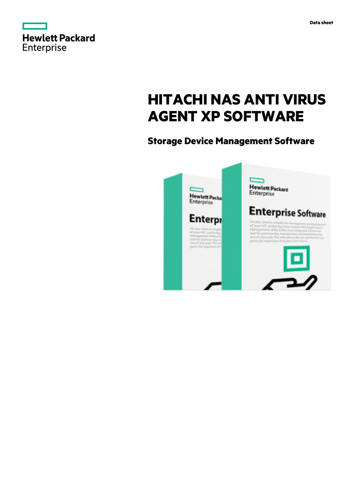

# **HITACHI NAS ANTI VIRUS AGENT XP SOFTWARE**

## **Storage Device Management Software**